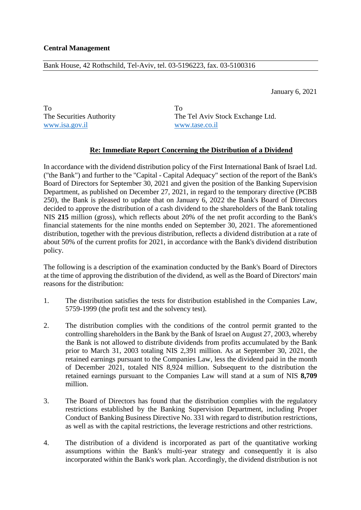## Bank House, 42 Rothschild, Tel-Aviv, tel. 03-5196223, fax. 03-5100316

January 6, 2021

To To www.isa.gov.il www.tase.co.il

The Securities Authority The Tel Aviv Stock Exchange Ltd.

## **Re: Immediate Report Concerning the Distribution of a Dividend**

In accordance with the dividend distribution policy of the First International Bank of Israel Ltd. ("the Bank") and further to the "Capital - Capital Adequacy" section of the report of the Bank's Board of Directors for September 30, 2021 and given the position of the Banking Supervision Department, as published on December 27, 2021, in regard to the temporary directive (PCBB 250), the Bank is pleased to update that on January 6, 2022 the Bank's Board of Directors decided to approve the distribution of a cash dividend to the shareholders of the Bank totaling NIS **215** million (gross), which reflects about 20% of the net profit according to the Bank's financial statements for the nine months ended on September 30, 2021. The aforementioned distribution, together with the previous distribution, reflects a dividend distribution at a rate of about 50% of the current profits for 2021, in accordance with the Bank's dividend distribution policy.

The following is a description of the examination conducted by the Bank's Board of Directors at the time of approving the distribution of the dividend, as well as the Board of Directors' main reasons for the distribution:

- 1. The distribution satisfies the tests for distribution established in the Companies Law, 5759-1999 (the profit test and the solvency test).
- 2. The distribution complies with the conditions of the control permit granted to the controlling shareholders in the Bank by the Bank of Israel on August 27, 2003, whereby the Bank is not allowed to distribute dividends from profits accumulated by the Bank prior to March 31, 2003 totaling NIS 2,391 million. As at September 30, 2021, the retained earnings pursuant to the Companies Law, less the dividend paid in the month of December 2021, totaled NIS 8,924 million. Subsequent to the distribution the retained earnings pursuant to the Companies Law will stand at a sum of NIS **8,709** million.
- 3. The Board of Directors has found that the distribution complies with the regulatory restrictions established by the Banking Supervision Department, including Proper Conduct of Banking Business Directive No. 331 with regard to distribution restrictions, as well as with the capital restrictions, the leverage restrictions and other restrictions.
- 4. The distribution of a dividend is incorporated as part of the quantitative working assumptions within the Bank's multi-year strategy and consequently it is also incorporated within the Bank's work plan. Accordingly, the dividend distribution is not